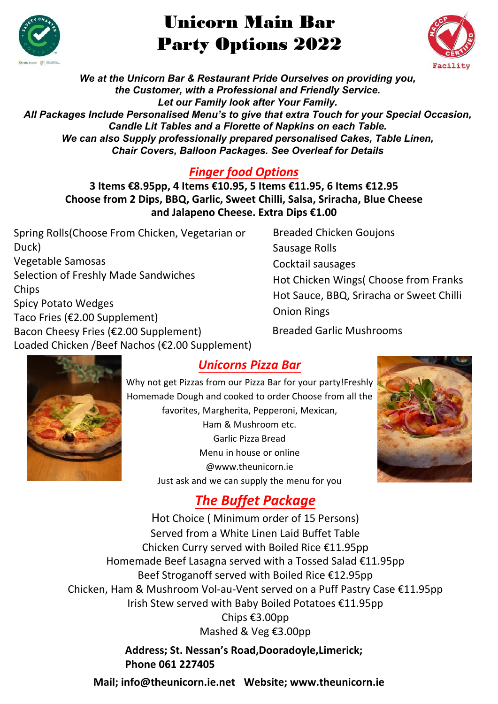

# Unicorn Main Bar Party Options 2022



*We at the Unicorn Bar & Restaurant Pride Ourselves on providing you, the Customer, with a Professional and Friendly Service. Let our Family look after Your Family. All Packages Include Personalised Menu's to give that extra Touch for your Special Occasion, Candle Lit Tables and a Florette of Napkins on each Table. We can also Supply professionally prepared personalised Cakes, Table Linen, Chair Covers, Balloon Packages. See Overleaf for Details*

#### *Finger food Options*

**3 Items €8.95pp, 4 Items €10.95, 5 Items €11.95, 6 Items €12.95 Choose from 2 Dips, BBQ, Garlic, Sweet Chilli, Salsa, Sriracha, Blue Cheese and Jalapeno Cheese. Extra Dips €1.00**

Spring Rolls(Choose From Chicken, Vegetarian or Duck) Vegetable Samosas Selection of Freshly Made Sandwiches **Chips** Spicy Potato Wedges Taco Fries (€2.00 Supplement) Bacon Cheesy Fries (€2.00 Supplement) Loaded Chicken /Beef Nachos (€2.00 Supplement) Breaded Chicken Goujons Sausage Rolls Cocktail sausages Hot Chicken Wings( Choose from Franks Hot Sauce, BBQ, Sriracha or Sweet Chilli Onion Rings Breaded Garlic Mushrooms



### *Unicorns Pizza Bar*

Why not get Pizzas from our Pizza Bar for your party!Freshly Homemade Dough and cooked to order Choose from all the favorites, Margherita, Pepperoni, Mexican, Ham & Mushroom etc. Garlic Pizza Bread Menu in house or online @www.theunicorn.ie Just ask and we can supply the menu for you



## *The Buffet Package*

Hot Choice ( Minimum order of 15 Persons) Served from a White Linen Laid Buffet Table Chicken Curry served with Boiled Rice €11.95pp Homemade Beef Lasagna served with a Tossed Salad €11.95pp Beef Stroganoff served with Boiled Rice €12.95pp Chicken, Ham & Mushroom Vol-au-Vent served on a Puff Pastry Case €11.95pp Irish Stew served with Baby Boiled Potatoes €11.95pp Chips €3.00pp Mashed & Veg €3.00pp

> **Address; St. Nessan's Road,Dooradoyle,Limerick; Phone 061 227405**

**Mail; info@theunicorn.ie.net Website; www.theunicorn.ie**